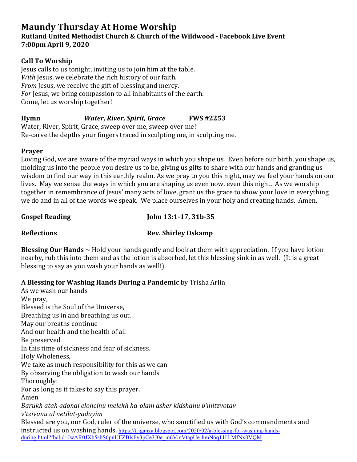# **Maundy Thursday At Home Worship**

### **Rutland United Methodist Church & Church of the Wildwood - Facebook Live Event 7:00pm April 9, 2020**

### **Call To Worship**

Jesus calls to us tonight, inviting us to join him at the table. *With* Jesus, we celebrate the rich history of our faith. *From* Jesus, we receive the gift of blessing and mercy. *For* Jesus, we bring compassion to all inhabitants of the earth. Come, let us worship together!

# **Hymn** *Water, River, Spirit, Grace* **FWS #2253**

Water, River, Spirit, Grace, sweep over me, sweep over me! Re-carve the depths your fingers traced in sculpting me, in sculpting me.

## **Prayer**

Loving God, we are aware of the myriad ways in which you shape us. Even before our birth, you shape us, molding us into the people you desire us to be, giving us gifts to share with our hands and granting us wisdom to find our way in this earthly realm. As we pray to you this night, may we feel your hands on our lives. May we sense the ways in which you are shaping us even now, even this night. As we worship together in remembrance of Jesus' many acts of love, grant us the grace to show your love in everything we do and in all of the words we speak. We place ourselves in your holy and creating hands. Amen.

**Gospel Reading John 13:1-17, 31b-35** 

# **Reflections Rev. Shirley Oskamp**

**Blessing Our Hands**  $\sim$  Hold your hands gently and look at them with appreciation. If you have lotion nearby, rub this into them and as the lotion is absorbed, let this blessing sink in as well. It is a great blessing to say as you wash your hands as well!)

**A Blessing for Washing Hands During a Pandemic** by Trisha Arlin

As we wash our hands We pray, Blessed is the Soul of the Universe, Breathing us in and breathing us out. May our breaths continue And our health and the health of all Be preserved In this time of sickness and fear of sickness. Holy Wholeness, We take as much responsibility for this as we can By observing the obligation to wash our hands Thoroughly: For as long as it takes to say this prayer. Amen *Barukh atah adonai eloheinu melekh ha-olam asher kidshanu b'mitzvotav v'tzivanu al netilat-yadayim* Blessed are you, our God, ruler of the universe, who sanctified us with God's commandments and instructed us on washing hands. https://triganza.blogspot.com/2020/02/a-blessing-for-washing-handsduring.html?fbclid=IwAR0JXb5sbS6pnUFZBlsFy3pCe3J0e\_m6VinVtapUe-hmN6q11H-MfNx0VOM